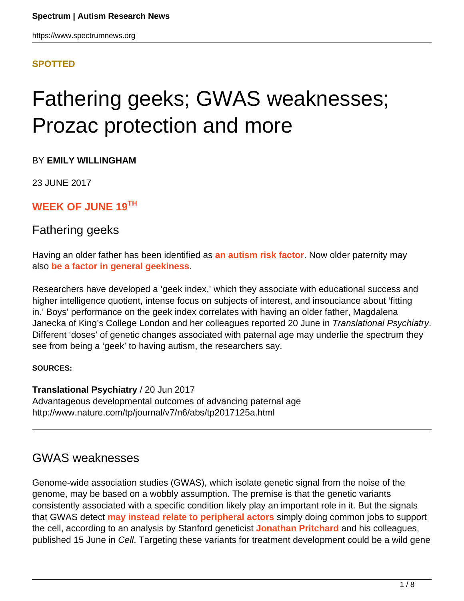#### **[SPOTTED](HTTPS://WWW.SPECTRUMNEWS.ORG/NEWS/SPOTTED/)**

# Fathering geeks; GWAS weaknesses; Prozac protection and more

BY **EMILY WILLINGHAM**

23 JUNE 2017

**WEEK OF JUNE 19TH**

### Fathering geeks

Having an older father has been identified as **[an autism risk factor](https://www.spectrumnews.org/news/parental-age-different-impact-autism-schizophrenia/)**. Now older paternity may also **[be a factor in general geekiness](http://www.nature.com/tp/journal/v7/n6/abs/tp2017125a.html)**.

Researchers have developed a 'geek index,' which they associate with educational success and higher intelligence quotient, intense focus on subjects of interest, and insouciance about 'fitting in.' Boys' performance on the geek index correlates with having an older father, Magdalena Janecka of King's College London and her colleagues reported 20 June in Translational Psychiatry. Different 'doses' of genetic changes associated with paternal age may underlie the spectrum they see from being a 'geek' to having autism, the researchers say.

#### **SOURCES:**

**Translational Psychiatry** / 20 Jun 2017 Advantageous developmental outcomes of advancing paternal age http://www.nature.com/tp/journal/v7/n6/abs/tp2017125a.html

# GWAS weaknesses

Genome-wide association studies (GWAS), which isolate genetic signal from the noise of the genome, may be based on a wobbly assumption. The premise is that the genetic variants consistently associated with a specific condition likely play an important role in it. But the signals that GWAS detect **[may instead relate to peripheral actors](http://www.cell.com/cell/fulltext/S0092-8674(17)30629-3)** simply doing common jobs to support the cell, according to an analysis by Stanford geneticist **[Jonathan Pritchard](http://web.stanford.edu/group/pritchardlab/home.html)** and his colleagues, published 15 June in Cell. Targeting these variants for treatment development could be a wild gene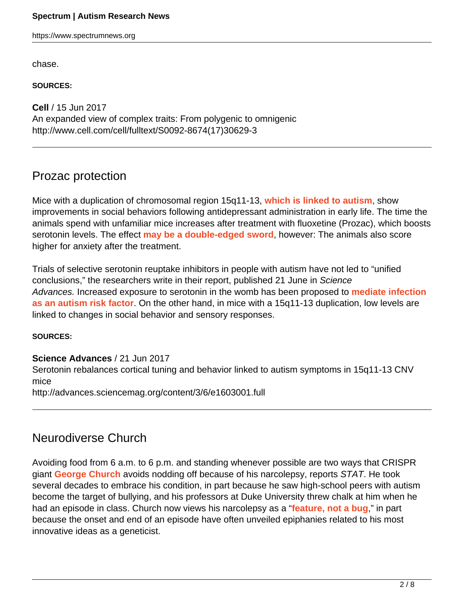#### **Spectrum | Autism Research News**

https://www.spectrumnews.org

chase.

**SOURCES:**

**Cell** / 15 Jun 2017 An expanded view of complex traits: From polygenic to omnigenic http://www.cell.com/cell/fulltext/S0092-8674(17)30629-3

# Prozac protection

Mice with a duplication of chromosomal region 15q11-13, **[which is linked to autism](https://www.spectrumnews.org/news/chromosome-15-duplications-common-in-autism/)**, show improvements in social behaviors following antidepressant administration in early life. The time the animals spend with unfamiliar mice increases after treatment with fluoxetine (Prozac), which boosts serotonin levels. The effect **[may be a double-edged sword](http://advances.sciencemag.org/content/3/6/e1603001.full)**, however: The animals also score higher for anxiety after the treatment.

Trials of selective serotonin reuptake inhibitors in people with autism have not led to "unified conclusions," the researchers write in their report, published 21 June in Science Advances. Increased exposure to serotonin in the womb has been proposed to **[mediate infection](https://www.spectrumnews.org/news/serotonin-may-mediate-effects-of-infection-in-the-womb/) [as an autism risk factor](https://www.spectrumnews.org/news/serotonin-may-mediate-effects-of-infection-in-the-womb/)**. On the other hand, in mice with a 15q11-13 duplication, low levels are linked to changes in social behavior and sensory responses.

#### **SOURCES:**

#### **Science Advances** / 21 Jun 2017

Serotonin rebalances cortical tuning and behavior linked to autism symptoms in 15q11-13 CNV mice http://advances.sciencemag.org/content/3/6/e1603001.full

# Neurodiverse Church

Avoiding food from 6 a.m. to 6 p.m. and standing whenever possible are two ways that CRISPR giant **[George Church](http://arep.med.harvard.edu/gmc/)** avoids nodding off because of his narcolepsy, reports STAT. He took several decades to embrace his condition, in part because he saw high-school peers with autism become the target of bullying, and his professors at Duke University threw chalk at him when he had an episode in class. Church now views his narcolepsy as a "**[feature, not a bug](https://www.statnews.com/2017/06/08/george-church-narcolepsy/)**," in part because the onset and end of an episode have often unveiled epiphanies related to his most innovative ideas as a geneticist.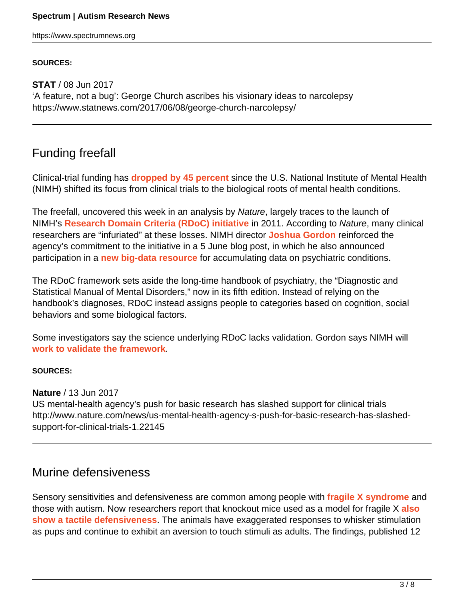https://www.spectrumnews.org

#### **SOURCES:**

**STAT** / 08 Jun 2017 'A feature, not a bug': George Church ascribes his visionary ideas to narcolepsy https://www.statnews.com/2017/06/08/george-church-narcolepsy/

# Funding freefall

Clinical-trial funding has **[dropped by 45 percent](http://www.nature.com/news/us-mental-health-agency-s-push-for-basic-research-has-slashed-support-for-clinical-trials-1.22145)** since the U.S. National Institute of Mental Health (NIMH) shifted its focus from clinical trials to the biological roots of mental health conditions.

The freefall, uncovered this week in an analysis by Nature, largely traces to the launch of NIMH's **[Research Domain Criteria \(RDoC\) initiative](https://www.spectrumnews.org/news/funding-agency-seeks-to-dismantle-diagnostic-barriers/)** in 2011. According to Nature, many clinical researchers are "infuriated" at these losses. NIMH director **[Joshua Gordon](https://www.nimh.nih.gov/about/director/index.shtml)** reinforced the agency's commitment to the initiative in a 5 June blog post, in which he also announced participation in a **[new big-data resource](https://www.spectrumnews.org/news/spotted/injury-risk-stem-cell-start-food-faces/)** for accumulating data on psychiatric conditions.

The RDoC framework sets aside the long-time handbook of psychiatry, the "Diagnostic and Statistical Manual of Mental Disorders," now in its fifth edition. Instead of relying on the handbook's diagnoses, RDoC instead assigns people to categories based on cognition, social behaviors and some biological factors.

Some investigators say the science underlying RDoC lacks validation. Gordon says NIMH will **[work to validate the framework](https://www.spectrumnews.org/opinion/q-and-a/questions-joshua-gordon-circuit-solutions-autism/)**.

#### **SOURCES:**

**Nature** / 13 Jun 2017

US mental-health agency's push for basic research has slashed support for clinical trials http://www.nature.com/news/us-mental-health-agency-s-push-for-basic-research-has-slashedsupport-for-clinical-trials-1.22145

# Murine defensiveness

Sensory sensitivities and defensiveness are common among people with **[fragile X syndrome](https://www.spectrumnews.org/wiki/fragile-x-syndrome)** and those with autism. Now researchers report that knockout mice used as a model for fragile X **[also](http://www.jneurosci.org/content/early/2017/06/12/JNEUROSCI.0651-17.2017) [show a tactile defensiveness](http://www.jneurosci.org/content/early/2017/06/12/JNEUROSCI.0651-17.2017)**. The animals have exaggerated responses to whisker stimulation as pups and continue to exhibit an aversion to touch stimuli as adults. The findings, published 12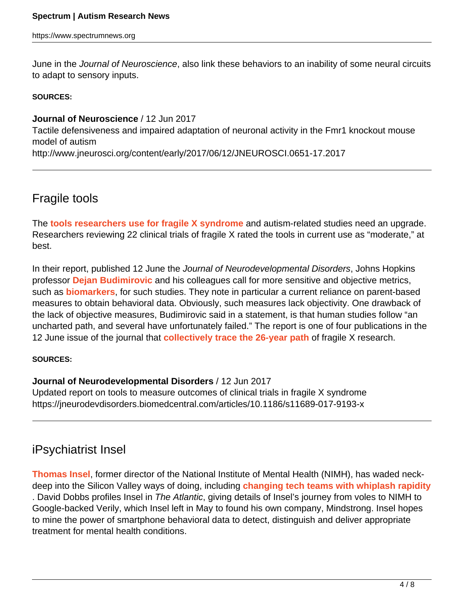https://www.spectrumnews.org

June in the *Journal of Neuroscience*, also link these behaviors to an inability of some neural circuits to adapt to sensory inputs.

#### **SOURCES:**

**Journal of Neuroscience** / 12 Jun 2017

Tactile defensiveness and impaired adaptation of neuronal activity in the Fmr1 knockout mouse model of autism

http://www.jneurosci.org/content/early/2017/06/12/JNEUROSCI.0651-17.2017

# Fragile tools

The **[tools researchers use for fragile X syndrome](https://jneurodevdisorders.biomedcentral.com/articles/10.1186/s11689-017-9193-x)** and autism-related studies need an upgrade. Researchers reviewing 22 clinical trials of fragile X rated the tools in current use as "moderate," at best.

In their report, published 12 June the Journal of Neurodevelopmental Disorders, Johns Hopkins professor **[Dejan Budimirovic](https://www.kennedykrieger.org/patient-care/faculty-staff/dejan-budimirovic)** and his colleagues call for more sensitive and objective metrics, such as **[biomarkers](https://www.spectrumnews.org/wiki/biomarkers)**, for such studies. They note in particular a current reliance on parent-based measures to obtain behavioral data. Obviously, such measures lack objectivity. One drawback of the lack of objective measures, Budimirovic said in a statement, is that human studies follow "an uncharted path, and several have unfortunately failed." The report is one of four publications in the 12 June issue of the journal that **[collectively trace the 26-year path](https://jneurodevdisorders.biomedcentral.com/articles/10.1186/s11689-017-9204-y#CR1)** of fragile X research.

#### **SOURCES:**

#### **Journal of Neurodevelopmental Disorders** / 12 Jun 2017

Updated report on tools to measure outcomes of clinical trials in fragile X syndrome https://jneurodevdisorders.biomedcentral.com/articles/10.1186/s11689-017-9193-x

# iPsychiatrist Insel

**[Thomas Insel](https://mindstronghealth.com/)**, former director of the National Institute of Mental Health (NIMH), has waded neckdeep into the Silicon Valley ways of doing, including **[changing tech teams with whiplash rapidity](https://www.theatlantic.com/magazine/archive/2017/07/the-smartphone-psychiatrist/528726/)** . David Dobbs profiles Insel in The Atlantic, giving details of Insel's journey from voles to NIMH to Google-backed Verily, which Insel left in May to found his own company, Mindstrong. Insel hopes to mine the power of smartphone behavioral data to detect, distinguish and deliver appropriate treatment for mental health conditions.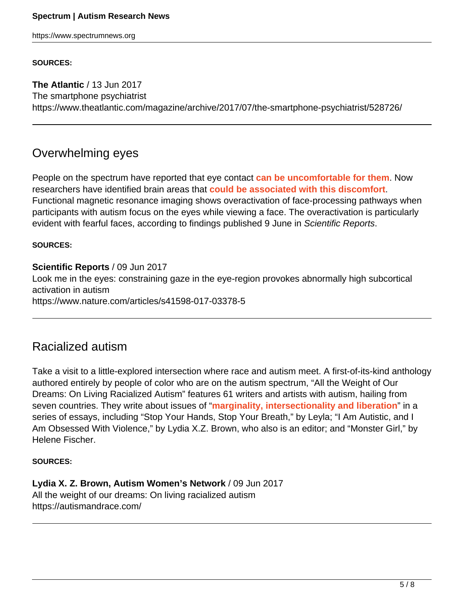#### **Spectrum | Autism Research News**

https://www.spectrumnews.org

#### **SOURCES:**

**The Atlantic** / 13 Jun 2017 The smartphone psychiatrist https://www.theatlantic.com/magazine/archive/2017/07/the-smartphone-psychiatrist/528726/

### Overwhelming eyes

People on the spectrum have reported that eye contact **[can be uncomfortable for them](https://www.spectrumnews.org/opinion/viewpoint/eyes-adults-autism-say-no/)**. Now researchers have identified brain areas that **[could be associated with this discomfort](https://www.nature.com/articles/s41598-017-03378-5)**. Functional magnetic resonance imaging shows overactivation of face-processing pathways when participants with autism focus on the eyes while viewing a face. The overactivation is particularly evident with fearful faces, according to findings published 9 June in Scientific Reports.

#### **SOURCES:**

**Scientific Reports** / 09 Jun 2017 Look me in the eyes: constraining gaze in the eye-region provokes abnormally high subcortical activation in autism https://www.nature.com/articles/s41598-017-03378-5

### Racialized autism

Take a visit to a little-explored intersection where race and autism meet. A first-of-its-kind anthology authored entirely by people of color who are on the autism spectrum, "All the Weight of Our Dreams: On Living Racialized Autism" features 61 writers and artists with autism, hailing from seven countries. They write about issues of "**[marginality, intersectionality and liberation](https://autismandrace.com/)**" in a series of essays, including "Stop Your Hands, Stop Your Breath," by Leyla; "I Am Autistic, and I Am Obsessed With Violence," by Lydia X.Z. Brown, who also is an editor; and "Monster Girl," by Helene Fischer.

#### **SOURCES:**

**Lydia X. Z. Brown, Autism Women's Network** / 09 Jun 2017 All the weight of our dreams: On living racialized autism https://autismandrace.com/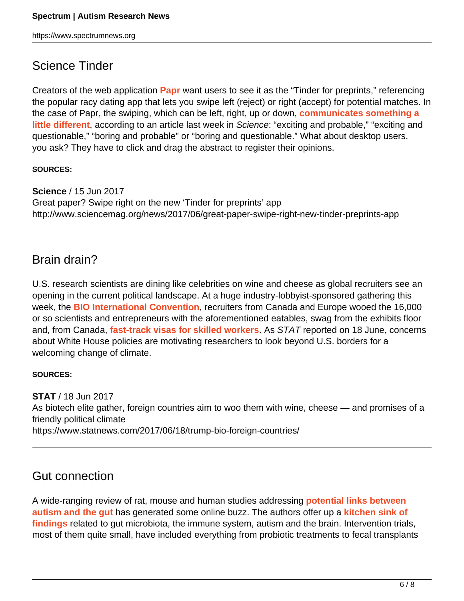# Science Tinder

Creators of the web application **[Papr](https://jhubiostatistics.shinyapps.io/papr/)** want users to see it as the "Tinder for preprints," referencing the popular racy dating app that lets you swipe left (reject) or right (accept) for potential matches. In the case of Papr, the swiping, which can be left, right, up or down, **[communicates something a](http://www.sciencemag.org/news/2017/06/great-paper-swipe-right-new-tinder-preprints-app) [little different](http://www.sciencemag.org/news/2017/06/great-paper-swipe-right-new-tinder-preprints-app)**, according to an article last week in Science: "exciting and probable," "exciting and questionable," "boring and probable" or "boring and questionable." What about desktop users, you ask? They have to click and drag the abstract to register their opinions.

#### **SOURCES:**

**Science** / 15 Jun 2017 Great paper? Swipe right on the new 'Tinder for preprints' app http://www.sciencemag.org/news/2017/06/great-paper-swipe-right-new-tinder-preprints-app

# Brain drain?

U.S. research scientists are dining like celebrities on wine and cheese as global recruiters see an opening in the current political landscape. At a huge industry-lobbyist-sponsored gathering this week, the **[BIO International Convention](http://convention.bio.org/home.aspx)**, recruiters from Canada and Europe wooed the 16,000 or so scientists and entrepreneurs with the aforementioned eatables, swag from the exhibits floor and, from Canada, **[fast-track visas for skilled workers](https://www.statnews.com/2017/06/18/trump-bio-foreign-countries/)**. As STAT reported on 18 June, concerns about White House policies are motivating researchers to look beyond U.S. borders for a welcoming change of climate.

#### **SOURCES:**

**STAT** / 18 Jun 2017 As biotech elite gather, foreign countries aim to woo them with wine, cheese — and promises of a friendly political climate https://www.statnews.com/2017/06/18/trump-bio-foreign-countries/

# Gut connection

A wide-ranging review of rat, mouse and human studies addressing **[potential links between](https://www.spectrumnews.org/features/deep-dive/gut-feeling-how-microbes-shape-autism/) [autism and the gut](https://www.spectrumnews.org/features/deep-dive/gut-feeling-how-microbes-shape-autism/)** has generated some online buzz. The authors offer up a **[kitchen sink of](http://journal.frontiersin.org/article/10.3389/fncel.2017.00120/full) [findings](http://journal.frontiersin.org/article/10.3389/fncel.2017.00120/full)** related to gut microbiota, the immune system, autism and the brain. Intervention trials, most of them quite small, have included everything from probiotic treatments to fecal transplants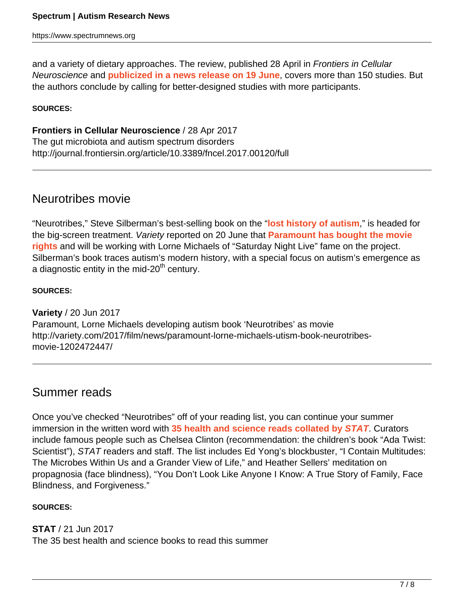and a variety of dietary approaches. The review, published 28 April in *Frontiers in Cellular* Neuroscience and **[publicized in a news release on 19 June](https://www.eurekalert.org/pub_releases/2017-06/f-tab061917.php)**, covers more than 150 studies. But the authors conclude by calling for better-designed studies with more participants.

#### **SOURCES:**

**Frontiers in Cellular Neuroscience** / 28 Apr 2017 The gut microbiota and autism spectrum disorders http://journal.frontiersin.org/article/10.3389/fncel.2017.00120/full

# Neurotribes movie

"Neurotribes," Steve Silberman's best-selling book on the "**[lost history of autism](https://www.spectrumnews.org/opinion/reviews/book-review-neurotribes-recovers-lost-history-of-autism/)**," is headed for the big-screen treatment. Variety reported on 20 June that **[Paramount has bought the movie](http://variety.com/2017/film/news/paramount-lorne-michaels-utism-book-neurotribes-movie-1202472447/) [rights](http://variety.com/2017/film/news/paramount-lorne-michaels-utism-book-neurotribes-movie-1202472447/)** and will be working with Lorne Michaels of "Saturday Night Live" fame on the project. Silberman's book traces autism's modern history, with a special focus on autism's emergence as a diagnostic entity in the mid- $20<sup>th</sup>$  century.

**SOURCES:**

**Variety** / 20 Jun 2017 Paramount, Lorne Michaels developing autism book 'Neurotribes' as movie http://variety.com/2017/film/news/paramount-lorne-michaels-utism-book-neurotribesmovie-1202472447/

### Summer reads

Once you've checked "Neurotribes" off of your reading list, you can continue your summer immersion in the written word with **[35 health and science reads collated by](https://www.statnews.com/2017/06/21/summer-reading-book-list/) [STAT](https://www.statnews.com/2017/06/21/summer-reading-book-list/)**. Curators include famous people such as Chelsea Clinton (recommendation: the children's book "Ada Twist: Scientist"), STAT readers and staff. The list includes Ed Yong's blockbuster, "I Contain Multitudes: The Microbes Within Us and a Grander View of Life," and Heather Sellers' meditation on propagnosia (face blindness), "You Don't Look Like Anyone I Know: A True Story of Family, Face Blindness, and Forgiveness."

#### **SOURCES:**

**STAT** / 21 Jun 2017 The 35 best health and science books to read this summer